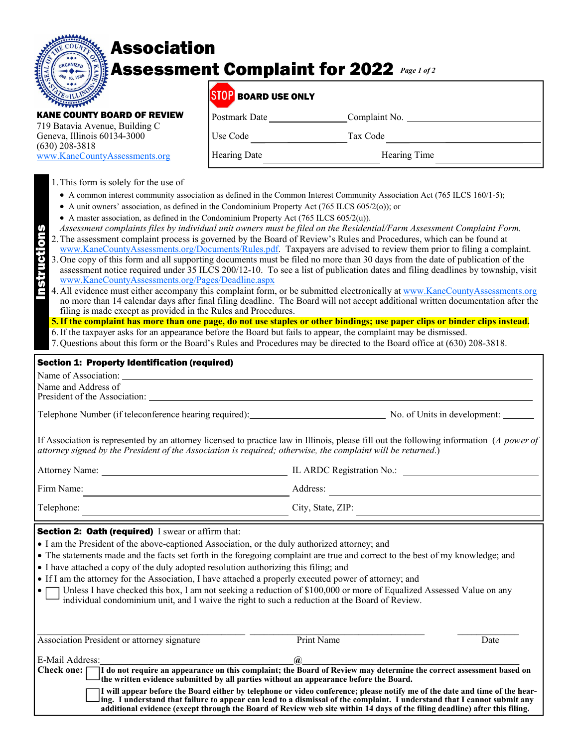# Association Assessment Complaint for 2022 *Page 1 of 2*

|  |               | <b>Associa</b> |  |
|--|---------------|----------------|--|
|  |               | Assessn        |  |
|  | OUNTY BOARD C | REVIET         |  |

 $\overline{a}$ 

(630) 208-3818

### STOP ROARD USE ONLY

| ____________         |               |
|----------------------|---------------|
| <b>Postmark Date</b> | Complaint No. |
| Use Code             | Tax Code      |
| <b>Hearing Date</b>  | Hearing Time  |

| 1. This form is solely for the use of |  |  |  |  |
|---------------------------------------|--|--|--|--|
|                                       |  |  |  |  |

719 Batavia Avenue, Building C Geneva, Illinois 60134-3000

www.KaneCountyAssessments.org

- A common interest community association as defined in the Common Interest Community Association Act (765 ILCS 160/1-5);
- A unit owners' association, as defined in the Condominium Property Act (765 ILCS 605/2(o)); or
- A master association, as defined in the Condominium Property Act (765 ILCS 605/2(u)).
- *Assessment complaints files by individual unit owners must be filed on the Residential/Farm Assessment Complaint Form.*
- 2. The assessment complaint process is governed by the Board of Review's Rules and Procedures, which can be found at www.KaneCountyAssessments.org/Documents/Rules.pdf. Taxpayers are advised to review them prior to filing a complaint. 3. One copy of this form and all supporting documents must be filed no more than 30 days from the date of publication of the assessment notice required under 35 ILCS 200/12-10. To see a list of publication dates and filing deadlines by township, visit www.KaneCountyAssessments.org/Pages/Deadline.aspx Instructions
	- 4. All evidence must either accompany this complaint form, or be submitted electronically at www.KaneCountyAssessments.org no more than 14 calendar days after final filing deadline. The Board will not accept additional written documentation after the filing is made except as provided in the Rules and Procedures.
		- **5. If the complaint has more than one page, do not use staples or other bindings; use paper clips or binder clips instead.**
		- 6. If the taxpayer asks for an appearance before the Board but fails to appear, the complaint may be dismissed.
		- 7. Questions about this form or the Board's Rules and Procedures may be directed to the Board office at (630) 208-3818.

## Section 1: Property Identification (required) Name of Association: Name and Address of President of the Association: Telephone Number (if teleconference hearing required): No. of Units in development: If Association is represented by an attorney licensed to practice law in Illinois, please fill out the following information (*A power of attorney signed by the President of the Association is required; otherwise, the complaint will be returned*.) Attorney Name: IL ARDC Registration No.: Firm Name: Address: Telephone: City, State, ZIP: Section 2: Oath (required) I swear or affirm that: I am the President of the above-captioned Association, or the duly authorized attorney; and The statements made and the facts set forth in the foregoing complaint are true and correct to the best of my knowledge; and I have attached a copy of the duly adopted resolution authorizing this filing; and

- If I am the attorney for the Association, I have attached a properly executed power of attorney; and
- Unless I have checked this box, I am not seeking a reduction of \$100,000 or more of Equalized Assessed Value on any individual condominium unit, and I waive the right to such a reduction at the Board of Review.

| Association President or attorney signature                                                                                                                                                                             | Print Name                                                                                                                                                                                                                                               | Date |
|-------------------------------------------------------------------------------------------------------------------------------------------------------------------------------------------------------------------------|----------------------------------------------------------------------------------------------------------------------------------------------------------------------------------------------------------------------------------------------------------|------|
| E-Mail Address:                                                                                                                                                                                                         |                                                                                                                                                                                                                                                          |      |
| Check one: I do not require an appearance on this complaint; the Board of Review may determine the correct assessment based on<br>the written evidence submitted by all parties without an appearance before the Board. |                                                                                                                                                                                                                                                          |      |
| ing. I understand that failure to appear can lead to a dismissal of the complaint. I understand that I cannot submit any                                                                                                | I will appear before the Board either by telephone or video conference; please notify me of the date and time of the hear-<br>additional evidence (except through the Board of Review web site within 14 days of the filing deadline) after this filing. |      |